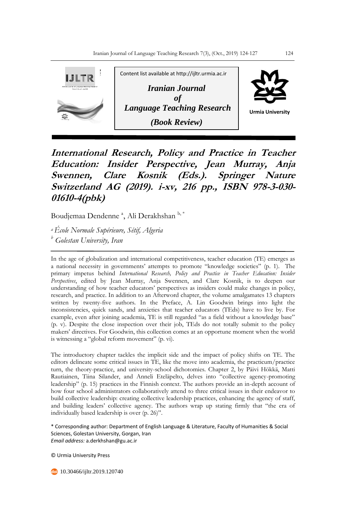

**International Research, Policy and Practice in Teacher Education: Insider Perspective, Jean Murray, Anja Swennen, Clare Kosnik (Eds.). Springer Nature Switzerland AG (2019). i-xv, 216 pp., ISBN 978-3-030- 01610-4(pbk)**

Boudjemaa Dendenne <sup>a</sup>, Ali Derakhshan <sup>b, \*</sup>

*<sup>a</sup>École Normale Supérieure, Sétif, Algeria <sup>b</sup> Golestan University, Iran* 

In the age of globalization and international competitiveness, teacher education (TE) emerges as a national necessity in governments' attempts to promote "knowledge societies" (p. 1). The primary impetus behind *International Research, Policy and Practice in Teacher Education: Insider Perspectives*, edited by Jean Murray, Anja Swennen, and Clare Kosnik, is to deepen our understanding of how teacher educators' perspectives as insiders could make changes in policy, research, and practice. In addition to an Afterword chapter, the volume amalgamates 13 chapters written by twenty-five authors. In the Preface, A. Lin Goodwin brings into light the inconsistencies, quick sands, and anxieties that teacher educators (TEds) have to live by. For example, even after joining academia, TE is still regarded "as a field without a knowledge base" (p. v). Despite the close inspection over their job, TEds do not totally submit to the policy makers' directives. For Goodwin, this collection comes at an opportune moment when the world is witnessing a "global reform movement" (p. vi).

The introductory chapter tackles the implicit side and the impact of policy shifts on TE. The editors delineate some critical issues in TE, like the move into academia, the practicum/practice turn, the theory-practice, and university-school dichotomies. Chapter 2, by Päivi Hökkä, Matti Rautiainen, Tiina Silander, and Anneli Eteläpelto, delves into "collective agency-promoting leadership" (p. 15) practices in the Finnish context. The authors provide an in-depth account of how four school administrators collaboratively attend to three critical issues in their endeavor to build collective leadership: creating collective leadership practices, enhancing the agency of staff, and building leaders' collective agency. The authors wrap up stating firmly that "the era of individually based leadership is over (p. 26)".

\* Corresponding author: Department of English Language & Literature, Faculty of Humanities & Social Sciences, Golestan University, Gorgan, Iran *Email address:* a.derkhshan@gu.ac.ir

© Urmia University Press

10.30466/ijltr.2019.120740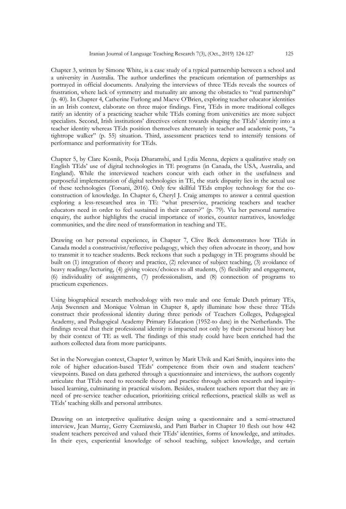Chapter 3, written by Simone White, is a case study of a typical partnership between a school and a university in Australia. The author underlines the practicum orientation of partnerships as portrayed in official documents. Analyzing the interviews of three TEds reveals the sources of frustration, where lack of symmetry and mutuality are among the obstacles to "real partnership" (p. 40). In Chapter 4, Catherine Furlong and Maeve O'Brien, exploring teacher educator identities in an Irish context, elaborate on three major findings. First, TEds in more traditional colleges ratify an identity of a practicing teacher while TEds coming from universities are more subject specialists. Second, Irish institutions' directives orient towards shaping the TEds' identity into a teacher identity whereas TEds position themselves alternately in teacher and academic posts, "a tightrope walker" (p. 55) situation. Third, assessment practices tend to intensify tensions of performance and performativity for TEds.

Chapter 5, by Clare Kosnik, Pooja Dharamshi, and Lydia Menna, depicts a qualitative study on English TEds' use of digital technologies in TE programs (in Canada, the USA, Australia, and England). While the interviewed teachers concur with each other in the usefulness and purposeful implementation of digital technologies in TE, the stark disparity lies in the actual use of these technologies (Torsani, 2016). Only few skillful TEds employ technology for the coconstruction of knowledge. In Chapter 6, Cheryl J. Craig attempts to answer a central question exploring a less-researched area in TE: "what preservice, practicing teachers and teacher educators need in order to feel sustained in their careers?" (p. 79). Via her personal narrative enquiry, the author highlights the crucial importance of stories, counter narratives, knowledge communities, and the dire need of transformation in teaching and TE.

Drawing on her personal experience, in Chapter 7, Clive Beck demonstrates how TEds in Canada model a constructivist/reflective pedagogy, which they often advocate in theory, and how to transmit it to teacher students. Beck reckons that such a pedagogy in TE programs should be built on (1) integration of theory and practice, (2) relevance of subject teaching, (3) avoidance of heavy readings/lecturing, (4) giving voices/choices to all students, (5) flexibility and engagement, (6) individuality of assignments, (7) professionalism, and (8) connection of programs to practicum experiences.

Using biographical research methodology with two male and one female Dutch primary TEs, Anja Swennen and Monique Volman in Chapter 8, aptly illuminate how these three TEds construct their professional identity during three periods of Teachers Colleges, Pedagogical Academy, and Pedagogical Academy Primary Education (1952-to date) in the Netherlands. The findings reveal that their professional identity is impacted not only by their personal history but by their context of TE as well. The findings of this study could have been enriched had the authors collected data from more participants.

Set in the Norwegian context, Chapter 9, written by Marit Ulvik and Kari Smith, inquires into the role of higher education-based TEds' competence from their own and student teachers' viewpoints. Based on data gathered through a questionnaire and interviews, the authors cogently articulate that TEds need to reconcile theory and practice through action research and inquirybased learning, culminating in practical wisdom. Besides, student teachers report that they are in need of pre-service teacher education, prioritizing critical reflections, practical skills as well as TEds' teaching skills and personal attributes.

Drawing on an interpretive qualitative design using a questionnaire and a semi-structured interview, Jean Murray, Gerry Czerniawski, and Patti Barber in Chapter 10 flesh out how 442 student teachers perceived and valued their TEds' identities, forms of knowledge, and attitudes. In their eyes, experiential knowledge of school teaching, subject knowledge, and certain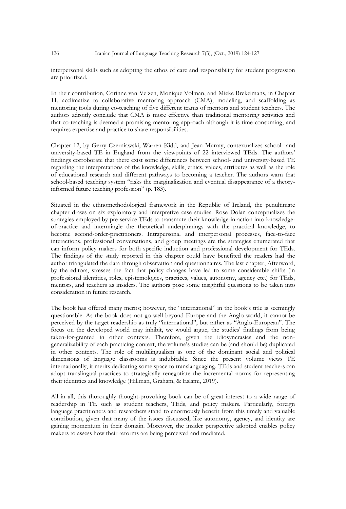interpersonal skills such as adopting the ethos of care and responsibility for student progression are prioritized.

In their contribution, Corinne van Velzen, Monique Volman, and Mieke Brekelmans, in Chapter 11, acclimatize to collaborative mentoring approach (CMA), modeling, and scaffolding as mentoring tools during co-teaching of five different teams of mentors and student teachers. The authors adroitly conclude that CMA is more effective than traditional mentoring activities and that co-teaching is deemed a promising mentoring approach although it is time consuming, and requires expertise and practice to share responsibilities.

Chapter 12, by Gerry Czerniawski, Warren Kidd, and Jean Murray, contextualizes school- and university-based TE in England from the viewpoints of 22 interviewed TEds. The authors' findings corroborate that there exist some differences between school- and university-based TE regarding the interpretations of the knowledge, skills, ethics, values, attributes as well as the role of educational research and different pathways to becoming a teacher. The authors warn that school-based teaching system "risks the marginalization and eventual disappearance of a theoryinformed future teaching profession" (p. 183).

Situated in the ethnomethodological framework in the Republic of Ireland, the penultimate chapter draws on six exploratory and interpretive case studies. Rose Dolan conceptualizes the strategies employed by pre-service TEds to transmute their knowledge-in-action into knowledgeof-practice and intermingle the theoretical underpinnings with the practical knowledge, to become second-order-practitioners. Intrapersonal and interpersonal processes, face-to-face interactions, professional conversations, and group meetings are the strategies enumerated that can inform policy makers for both specific induction and professional development for TEds. The findings of the study reported in this chapter could have benefited the readers had the author triangulated the data through observation and questionnaires. The last chapter, Afterword, by the editors, stresses the fact that policy changes have led to some considerable shifts (in professional identities, roles, epistemologies, practices, values, autonomy, agency etc.) for TEds, mentors, and teachers as insiders. The authors pose some insightful questions to be taken into consideration in future research.

The book has offered many merits; however, the "international" in the book's title is seemingly questionable. As the book does not go well beyond Europe and the Anglo world, it cannot be perceived by the target readership as truly "international", but rather as "Anglo-European". The focus on the developed world may inhibit, we would argue, the studies' findings from being taken-for-granted in other contexts. Therefore, given the idiosyncrasies and the nongeneralizability of each practicing context, the volume's studies can be (and should be) duplicated in other contexts. The role of multilingualism as one of the dominant social and political dimensions of language classrooms is indubitable. Since the present volume views TE internationally, it merits dedicating some space to translanguaging. TEds and student teachers can adopt translingual practices to strategically renegotiate the incremental norms for representing their identities and knowledge (Hillman, Graham, & Eslami, 2019).

All in all, this thoroughly thought-provoking book can be of great interest to a wide range of readership in TE such as student teachers, TEds, and policy makers. Particularly, foreign language practitioners and researchers stand to enormously benefit from this timely and valuable contribution, given that many of the issues discussed, like autonomy, agency, and identity are gaining momentum in their domain. Moreover, the insider perspective adopted enables policy makers to assess how their reforms are being perceived and mediated.